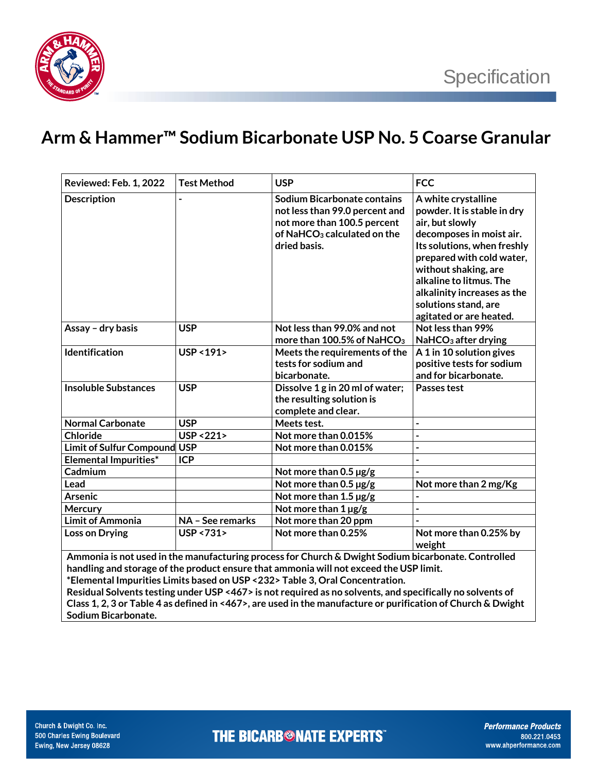

## **Arm & Hammer™ Sodium Bicarbonate USP No. 5 Coarse Granular**

| Reviewed: Feb. 1, 2022                                                                                                                                                                                                                                                                                                                                                                                                                                                                                     | <b>Test Method</b>     | <b>USP</b>                                                                                                                                              | <b>FCC</b>                                                                                                                                                                                                                                                                                         |  |  |
|------------------------------------------------------------------------------------------------------------------------------------------------------------------------------------------------------------------------------------------------------------------------------------------------------------------------------------------------------------------------------------------------------------------------------------------------------------------------------------------------------------|------------------------|---------------------------------------------------------------------------------------------------------------------------------------------------------|----------------------------------------------------------------------------------------------------------------------------------------------------------------------------------------------------------------------------------------------------------------------------------------------------|--|--|
| <b>Description</b>                                                                                                                                                                                                                                                                                                                                                                                                                                                                                         |                        | Sodium Bicarbonate contains<br>not less than 99.0 percent and<br>not more than 100.5 percent<br>of NaHCO <sub>3</sub> calculated on the<br>dried basis. | A white crystalline<br>powder. It is stable in dry<br>air, but slowly<br>decomposes in moist air.<br>Its solutions, when freshly<br>prepared with cold water,<br>without shaking, are<br>alkaline to litmus. The<br>alkalinity increases as the<br>solutions stand, are<br>agitated or are heated. |  |  |
| Assay - dry basis                                                                                                                                                                                                                                                                                                                                                                                                                                                                                          | <b>USP</b>             | Not less than 99.0% and not<br>more than 100.5% of NaHCO <sub>3</sub>                                                                                   | Not less than 99%<br>NaHCO <sub>3</sub> after drying                                                                                                                                                                                                                                               |  |  |
| Identification                                                                                                                                                                                                                                                                                                                                                                                                                                                                                             | USP < 191>             | Meets the requirements of the<br>tests for sodium and<br>bicarbonate.                                                                                   | A 1 in 10 solution gives<br>positive tests for sodium<br>and for bicarbonate.                                                                                                                                                                                                                      |  |  |
| <b>Insoluble Substances</b>                                                                                                                                                                                                                                                                                                                                                                                                                                                                                | <b>USP</b>             | Dissolve 1 g in 20 ml of water;<br>the resulting solution is<br>complete and clear.                                                                     | Passes test                                                                                                                                                                                                                                                                                        |  |  |
| <b>Normal Carbonate</b>                                                                                                                                                                                                                                                                                                                                                                                                                                                                                    | <b>USP</b>             | Meets test.                                                                                                                                             | $\overline{a}$                                                                                                                                                                                                                                                                                     |  |  |
| Chloride                                                                                                                                                                                                                                                                                                                                                                                                                                                                                                   | <b>USP &lt;221&gt;</b> | Not more than 0.015%                                                                                                                                    | $\overline{a}$                                                                                                                                                                                                                                                                                     |  |  |
| <b>Limit of Sulfur Compound</b>                                                                                                                                                                                                                                                                                                                                                                                                                                                                            | <b>USP</b>             | Not more than 0.015%                                                                                                                                    | $\overline{a}$                                                                                                                                                                                                                                                                                     |  |  |
| <b>Elemental Impurities*</b>                                                                                                                                                                                                                                                                                                                                                                                                                                                                               | <b>ICP</b>             |                                                                                                                                                         |                                                                                                                                                                                                                                                                                                    |  |  |
| Cadmium                                                                                                                                                                                                                                                                                                                                                                                                                                                                                                    |                        | Not more than 0.5 µg/g                                                                                                                                  |                                                                                                                                                                                                                                                                                                    |  |  |
| Lead                                                                                                                                                                                                                                                                                                                                                                                                                                                                                                       |                        | Not more than $0.5 \,\mu g/g$                                                                                                                           | Not more than 2 mg/Kg                                                                                                                                                                                                                                                                              |  |  |
| <b>Arsenic</b>                                                                                                                                                                                                                                                                                                                                                                                                                                                                                             |                        | Not more than 1.5 µg/g                                                                                                                                  | $\overline{a}$                                                                                                                                                                                                                                                                                     |  |  |
| Mercury                                                                                                                                                                                                                                                                                                                                                                                                                                                                                                    |                        | Not more than 1 µg/g                                                                                                                                    | $\overline{a}$                                                                                                                                                                                                                                                                                     |  |  |
| <b>Limit of Ammonia</b>                                                                                                                                                                                                                                                                                                                                                                                                                                                                                    | NA - See remarks       | Not more than 20 ppm                                                                                                                                    |                                                                                                                                                                                                                                                                                                    |  |  |
| <b>Loss on Drying</b>                                                                                                                                                                                                                                                                                                                                                                                                                                                                                      | USP <731>              | Not more than 0.25%                                                                                                                                     | Not more than 0.25% by<br>weight                                                                                                                                                                                                                                                                   |  |  |
| Ammonia is not used in the manufacturing process for Church & Dwight Sodium bicarbonate. Controlled<br>handling and storage of the product ensure that ammonia will not exceed the USP limit.<br>*Elemental Impurities Limits based on USP <232> Table 3, Oral Concentration.<br>Residual Solvents testing under USP <467> is not required as no solvents, and specifically no solvents of<br>Class 1, 2, 3 or Table 4 as defined in <467>, are used in the manufacture or purification of Church & Dwight |                        |                                                                                                                                                         |                                                                                                                                                                                                                                                                                                    |  |  |

**Sodium Bicarbonate.**